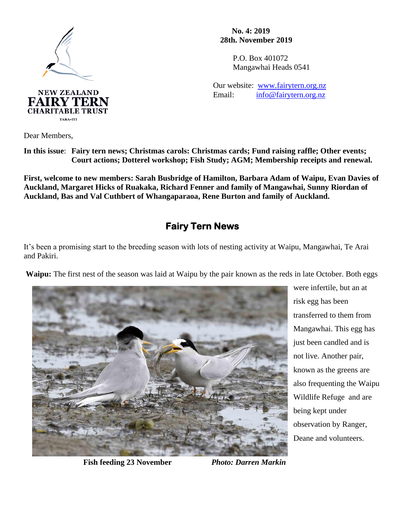

**CHARITABLE TRUST** TARA-ITI

 **No. 4: 2019 28th. November 2019**

> P.O. Box 401072 Mangawhai Heads 0541

Our website: [www.fairytern.org.nz](http://www.fairytern.org.nz/) Email: [info@fairytern.org.nz](mailto:info@fairytern.org.nz)

Dear Members,

**In this issue**: **Fairy tern news; Christmas carols: Christmas cards; Fund raising raffle; Other events; Court actions; Dotterel workshop; Fish Study; AGM; Membership receipts and renewal.**

**First, welcome to new members: Sarah Busbridge of Hamilton, Barbara Adam of Waipu, Evan Davies of Auckland, Margaret Hicks of Ruakaka, Richard Fenner and family of Mangawhai, Sunny Riordan of Auckland, Bas and Val Cuthbert of Whangaparaoa, Rene Burton and family of Auckland.**

## **Fairy Tern News**

It's been a promising start to the breeding season with lots of nesting activity at Waipu, Mangawhai, Te Arai and Pakiri.

**Waipu:** The first nest of the season was laid at Waipu by the pair known as the reds in late October. Both eggs



were infertile, but an at risk egg has been transferred to them from Mangawhai. This egg has just been candled and is not live. Another pair, known as the greens are also frequenting the Waipu Wildlife Refuge and are being kept under observation by Ranger, Deane and volunteers.

 **Fish feeding 23 November** *Photo: Darren Markin*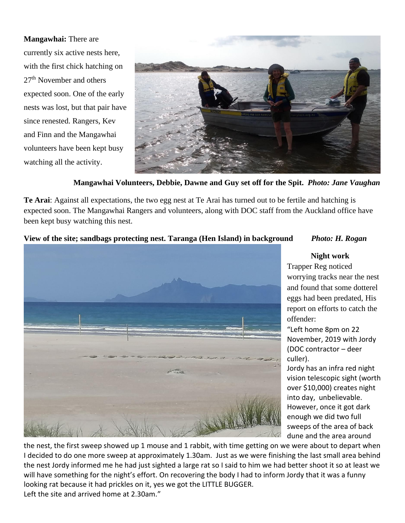**Mangawhai:** There are currently six active nests here, with the first chick hatching on 27<sup>th</sup> November and others expected soon. One of the early nests was lost, but that pair have since renested. Rangers, Kev and Finn and the Mangawhai volunteers have been kept busy watching all the activity.



**Mangawhai Volunteers, Debbie, Dawne and Guy set off for the Spit.** *Photo: Jane Vaughan*

**Te Arai**: Against all expectations, the two egg nest at Te Arai has turned out to be fertile and hatching is expected soon. The Mangawhai Rangers and volunteers, along with DOC staff from the Auckland office have been kept busy watching this nest.

#### **View of the site; sandbags protecting nest. Taranga (Hen Island) in background** *Photo: H. Rogan*



**Night work**

Trapper Reg noticed worrying tracks near the nest and found that some dotterel eggs had been predated, His report on efforts to catch the offender:

"Left home 8pm on 22 November, 2019 with Jordy (DOC contractor – deer culler).

Jordy has an infra red night vision telescopic sight (worth over \$10,000) creates night into day, unbelievable. However, once it got dark enough we did two full sweeps of the area of back dune and the area around

the nest, the first sweep showed up 1 mouse and 1 rabbit, with time getting on we were about to depart when I decided to do one more sweep at approximately 1.30am. Just as we were finishing the last small area behind the nest Jordy informed me he had just sighted a large rat so I said to him we had better shoot it so at least we will have something for the night's effort. On recovering the body I had to inform Jordy that it was a funny looking rat because it had prickles on it, yes we got the LITTLE BUGGER. Left the site and arrived home at 2.30am."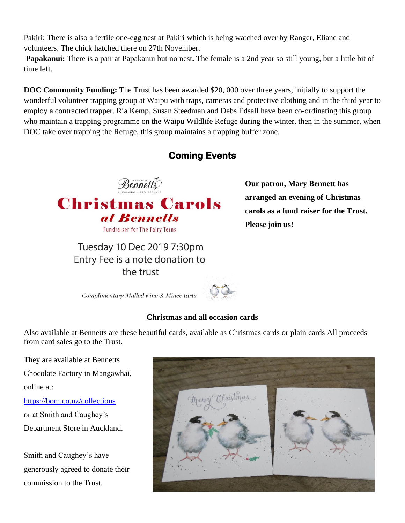Pakiri: There is also a fertile one-egg nest at Pakiri which is being watched over by Ranger, Eliane and volunteers. The chick hatched there on 27th November.

**Papakanui:** There is a pair at Papakanui but no nest**.** The female is a 2nd year so still young, but a little bit of time left.

**DOC Community Funding:** The Trust has been awarded \$20, 000 over three years, initially to support the wonderful volunteer trapping group at Waipu with traps, cameras and protective clothing and in the third year to employ a contracted trapper. Ria Kemp, Susan Steedman and Debs Edsall have been co-ordinating this group who maintain a trapping programme on the Waipu Wildlife Refuge during the winter, then in the summer, when DOC take over trapping the Refuge, this group maintains a trapping buffer zone.

# **Coming Events**



at Rennetts **Fundraiser for The Fairy Terns** 

Tuesday 10 Dec 2019 7:30pm Entry Fee is a note donation to the trust

**Our patron, Mary Bennett has arranged an evening of Christmas carols as a fund raiser for the Trust. Please join us!** 

**Complimentary Mulled wine & Mince tarts** 



#### **Christmas and all occasion cards**

Also available at Bennetts are these beautiful cards, available as Christmas cards or plain cards All proceeds from card sales go to the Trust.

They are available at Bennetts Chocolate Factory in Mangawhai,

online at:

<https://bom.co.nz/collections> or at Smith and Caughey's Department Store in Auckland.

Smith and Caughey's have generously agreed to donate their commission to the Trust.

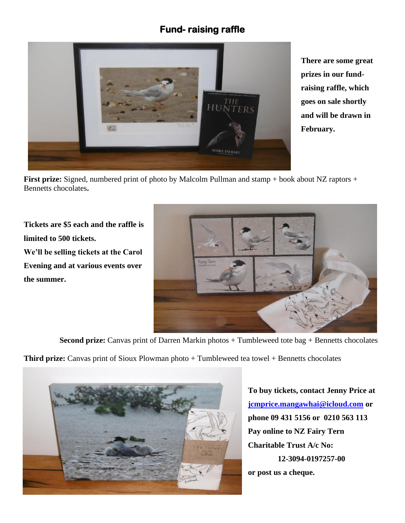# **Fund- raising raffle**



**There are some great prizes in our fundraising raffle, which goes on sale shortly and will be drawn in February.** 

**First prize:** Signed, numbered print of photo by Malcolm Pullman and stamp + book about NZ raptors + Bennetts chocolates**.**

**Tickets are \$5 each and the raffle is limited to 500 tickets. We'll be selling tickets at the Carol Evening and at various events over the summer.**



**Second prize:** Canvas print of Darren Markin photos + Tumbleweed tote bag + Bennetts chocolates

**Third prize:** Canvas print of Sioux Plowman photo + Tumbleweed tea towel + Bennetts chocolates



**To buy tickets, contact Jenny Price at [jcmprice.mangawhai@icloud.com](mailto:jcmprice.mangawhai@icloud.com) or phone 09 431 5156 or 0210 563 113 Pay online to NZ Fairy Tern Charitable Trust A/c No: 12-3094-0197257-00 or post us a cheque.**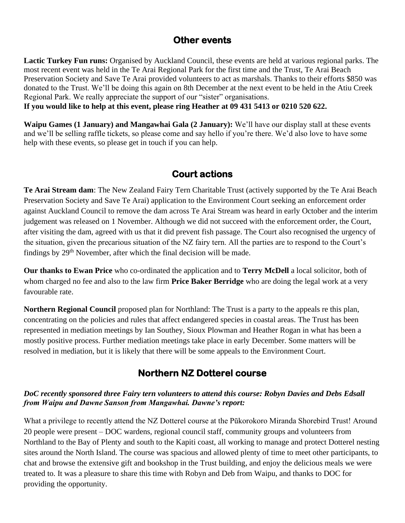#### **Other events**

**Lactic Turkey Fun runs:** Organised by Auckland Council, these events are held at various regional parks. The most recent event was held in the Te Arai Regional Park for the first time and the Trust, Te Arai Beach Preservation Society and Save Te Arai provided volunteers to act as marshals. Thanks to their efforts \$850 was donated to the Trust. We'll be doing this again on 8th December at the next event to be held in the Atiu Creek Regional Park. We really appreciate the support of our "sister" organisations.

**If you would like to help at this event, please ring Heather at 09 431 5413 or 0210 520 622.**

**Waipu Games (1 January) and Mangawhai Gala (2 January):** We'll have our display stall at these events and we'll be selling raffle tickets, so please come and say hello if you're there. We'd also love to have some help with these events, so please get in touch if you can help.

### **Court actions**

**Te Arai Stream dam**: The New Zealand Fairy Tern Charitable Trust (actively supported by the Te Arai Beach Preservation Society and Save Te Arai) application to the Environment Court seeking an enforcement order against Auckland Council to remove the dam across Te Arai Stream was heard in early October and the interim judgement was released on 1 November. Although we did not succeed with the enforcement order, the Court, after visiting the dam, agreed with us that it did prevent fish passage. The Court also recognised the urgency of the situation, given the precarious situation of the NZ fairy tern. All the parties are to respond to the Court's findings by  $29<sup>th</sup>$  November, after which the final decision will be made.

**Our thanks to Ewan Price** who co-ordinated the application and to **Terry McDell** a local solicitor, both of whom charged no fee and also to the law firm **Price Baker Berridge** who are doing the legal work at a very favourable rate.

**Northern Regional Council** proposed plan for Northland: The Trust is a party to the appeals re this plan, concentrating on the policies and rules that affect endangered species in coastal areas. The Trust has been represented in mediation meetings by Ian Southey, Sioux Plowman and Heather Rogan in what has been a mostly positive process. Further mediation meetings take place in early December. Some matters will be resolved in mediation, but it is likely that there will be some appeals to the Environment Court.

## **Northern NZ Dotterel course**

#### *DoC recently sponsored three Fairy tern volunteers to attend this course: Robyn Davies and Debs Edsall from Waipu and Dawne Sanson from Mangawhai. Dawne's report:*

What a privilege to recently attend the NZ Dotterel course at the Pūkorokoro Miranda Shorebird Trust! Around 20 people were present – DOC wardens, regional council staff, community groups and volunteers from Northland to the Bay of Plenty and south to the Kapiti coast, all working to manage and protect Dotterel nesting sites around the North Island. The course was spacious and allowed plenty of time to meet other participants, to chat and browse the extensive gift and bookshop in the Trust building, and enjoy the delicious meals we were treated to. It was a pleasure to share this time with Robyn and Deb from Waipu, and thanks to DOC for providing the opportunity.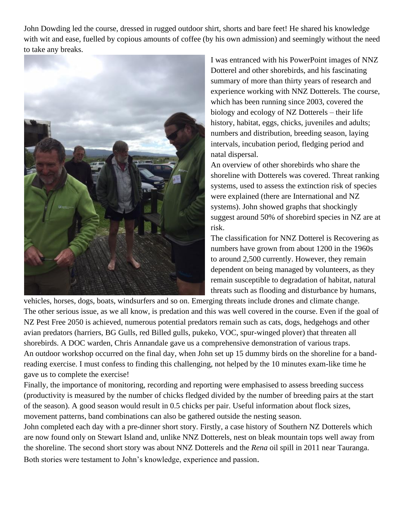John Dowding led the course, dressed in rugged outdoor shirt, shorts and bare feet! He shared his knowledge with wit and ease, fuelled by copious amounts of coffee (by his own admission) and seemingly without the need to take any breaks.



I was entranced with his PowerPoint images of NNZ Dotterel and other shorebirds, and his fascinating summary of more than thirty years of research and experience working with NNZ Dotterels. The course, which has been running since 2003, covered the biology and ecology of NZ Dotterels – their life history, habitat, eggs, chicks, juveniles and adults; numbers and distribution, breeding season, laying intervals, incubation period, fledging period and natal dispersal.

An overview of other shorebirds who share the shoreline with Dotterels was covered. Threat ranking systems, used to assess the extinction risk of species were explained (there are International and NZ systems). John showed graphs that shockingly suggest around 50% of shorebird species in NZ are at risk.

The classification for NNZ Dotterel is Recovering as numbers have grown from about 1200 in the 1960s to around 2,500 currently. However, they remain dependent on being managed by volunteers, as they remain susceptible to degradation of habitat, natural threats such as flooding and disturbance by humans,

vehicles, horses, dogs, boats, windsurfers and so on. Emerging threats include drones and climate change. The other serious issue, as we all know, is predation and this was well covered in the course. Even if the goal of NZ Pest Free 2050 is achieved, numerous potential predators remain such as cats, dogs, hedgehogs and other avian predators (harriers, BG Gulls, red Billed gulls, pukeko, VOC, spur-winged plover) that threaten all shorebirds. A DOC warden, Chris Annandale gave us a comprehensive demonstration of various traps. An outdoor workshop occurred on the final day, when John set up 15 dummy birds on the shoreline for a bandreading exercise. I must confess to finding this challenging, not helped by the 10 minutes exam-like time he gave us to complete the exercise!

Finally, the importance of monitoring, recording and reporting were emphasised to assess breeding success (productivity is measured by the number of chicks fledged divided by the number of breeding pairs at the start of the season). A good season would result in 0.5 chicks per pair. Useful information about flock sizes, movement patterns, band combinations can also be gathered outside the nesting season.

John completed each day with a pre-dinner short story. Firstly, a case history of Southern NZ Dotterels which are now found only on Stewart Island and, unlike NNZ Dotterels, nest on bleak mountain tops well away from the shoreline. The second short story was about NNZ Dotterels and the *Rena* oil spill in 2011 near Tauranga. Both stories were testament to John's knowledge, experience and passion.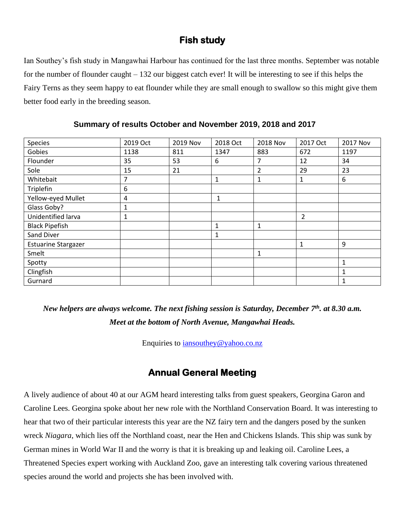### **Fish study**

Ian Southey's fish study in Mangawhai Harbour has continued for the last three months. September was notable for the number of flounder caught – 132 our biggest catch ever! It will be interesting to see if this helps the Fairy Terns as they seem happy to eat flounder while they are small enough to swallow so this might give them better food early in the breeding season.

| Species                    | 2019 Oct | 2019 Nov | 2018 Oct     | <b>2018 Nov</b> | 2017 Oct       | 2017 Nov     |
|----------------------------|----------|----------|--------------|-----------------|----------------|--------------|
| Gobies                     | 1138     | 811      | 1347         | 883             | 672            | 1197         |
| Flounder                   | 35       | 53       | 6            | 7               | 12             | 34           |
| Sole                       | 15       | 21       |              | 2               | 29             | 23           |
| Whitebait                  | 7        |          | $\mathbf{1}$ | 1               | 1              | 6            |
| Triplefin                  | 6        |          |              |                 |                |              |
| Yellow-eyed Mullet         | 4        |          | $\mathbf{1}$ |                 |                |              |
| Glass Goby?                | 1        |          |              |                 |                |              |
| Unidentified larva         | 1        |          |              |                 | $\overline{2}$ |              |
| <b>Black Pipefish</b>      |          |          | $\mathbf{1}$ | 1               |                |              |
| Sand Diver                 |          |          | 1            |                 |                |              |
| <b>Estuarine Stargazer</b> |          |          |              |                 | 1              | 9            |
| Smelt                      |          |          |              | 1               |                |              |
| Spotty                     |          |          |              |                 |                | $\mathbf 1$  |
| Clingfish                  |          |          |              |                 |                | 1            |
| Gurnard                    |          |          |              |                 |                | $\mathbf{1}$ |

 **Summary of results October and November 2019, 2018 and 2017**

*New helpers are always welcome. The next fishing session is Saturday, December 7 th . at 8.30 a.m. Meet at the bottom of North Avenue, Mangawhai Heads.*

Enquiries to [iansouthey@yahoo.co.nz](mailto:iansouthey@yahoo.co.nz)

## **Annual General Meeting**

A lively audience of about 40 at our AGM heard interesting talks from guest speakers, Georgina Garon and Caroline Lees. Georgina spoke about her new role with the Northland Conservation Board. It was interesting to hear that two of their particular interests this year are the NZ fairy tern and the dangers posed by the sunken wreck *Niagara*, which lies off the Northland coast, near the Hen and Chickens Islands. This ship was sunk by German mines in World War II and the worry is that it is breaking up and leaking oil. Caroline Lees, a Threatened Species expert working with Auckland Zoo, gave an interesting talk covering various threatened species around the world and projects she has been involved with.